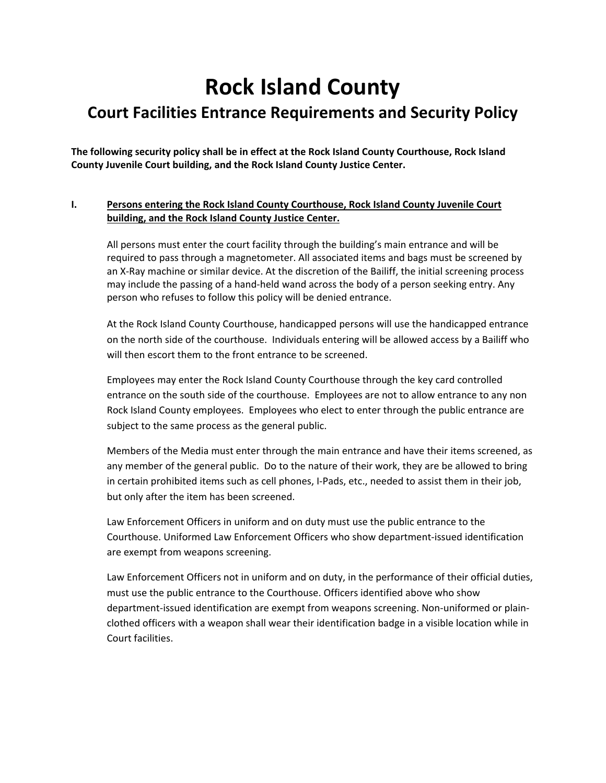# **Rock Island County**

## **Court Facilities Entrance Requirements and Security Policy**

**The following security policy shall be in effect at the Rock Island County Courthouse, Rock Island County Juvenile Court building, and the Rock Island County Justice Center.**

### **I. Persons entering the Rock Island County Courthouse, Rock Island County Juvenile Court building, and the Rock Island County Justice Center.**

All persons must enter the court facility through the building's main entrance and will be required to pass through a magnetometer. All associated items and bags must be screened by an X-Ray machine or similar device. At the discretion of the Bailiff, the initial screening process may include the passing of a hand‐held wand across the body of a person seeking entry. Any person who refuses to follow this policy will be denied entrance.

At the Rock Island County Courthouse, handicapped persons will use the handicapped entrance on the north side of the courthouse. Individuals entering will be allowed access by a Bailiff who will then escort them to the front entrance to be screened.

Employees may enter the Rock Island County Courthouse through the key card controlled entrance on the south side of the courthouse. Employees are not to allow entrance to any non Rock Island County employees. Employees who elect to enter through the public entrance are subject to the same process as the general public.

Members of the Media must enter through the main entrance and have their items screened, as any member of the general public. Do to the nature of their work, they are be allowed to bring in certain prohibited items such as cell phones, I-Pads, etc., needed to assist them in their job, but only after the item has been screened.

Law Enforcement Officers in uniform and on duty must use the public entrance to the Courthouse. Uniformed Law Enforcement Officers who show department‐issued identification are exempt from weapons screening.

Law Enforcement Officers not in uniform and on duty, in the performance of their official duties, must use the public entrance to the Courthouse. Officers identified above who show department-issued identification are exempt from weapons screening. Non-uniformed or plainclothed officers with a weapon shall wear their identification badge in a visible location while in Court facilities.